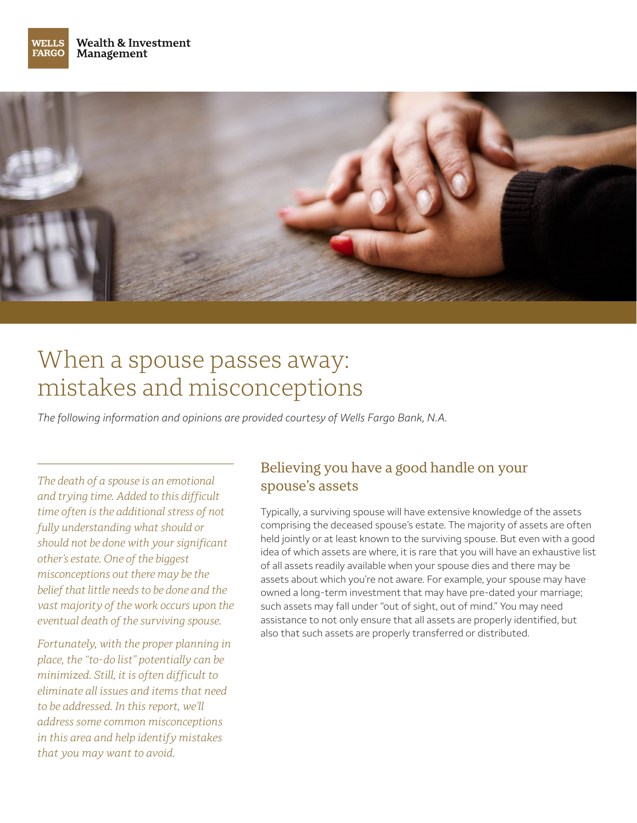



# When a spouse passes away: mistakes and misconceptions

*The following information and opinions are provided courtesy of Wells Fargo Bank, N.A.*

*The death of a spouse is an emotional and trying time. Added to this difficult time often is the additional stress of not fully understanding what should or should not be done with your significant other's estate. One of the biggest misconceptions out there may be the belief that little needs to be done and the vast majority of the work occurs upon the eventual death of the surviving spouse.*

*Fortunately, with the proper planning in place, the "to-do list" potentially can be minimized. Still, it is often difficult to eliminate all issues and items that need to be addressed. In this report, we'll address some common misconceptions in this area and help identify mistakes that you may want to avoid.*

#### Believing you have a good handle on your spouse's assets

Typically, a surviving spouse will have extensive knowledge of the assets comprising the deceased spouse's estate. The majority of assets are often held jointly or at least known to the surviving spouse. But even with a good idea of which assets are where, it is rare that you will have an exhaustive list of all assets readily available when your spouse dies and there may be assets about which you're not aware. For example, your spouse may have owned a long-term investment that may have pre-dated your marriage; such assets may fall under "out of sight, out of mind." You may need assistance to not only ensure that all assets are properly identified, but also that such assets are properly transferred or distributed.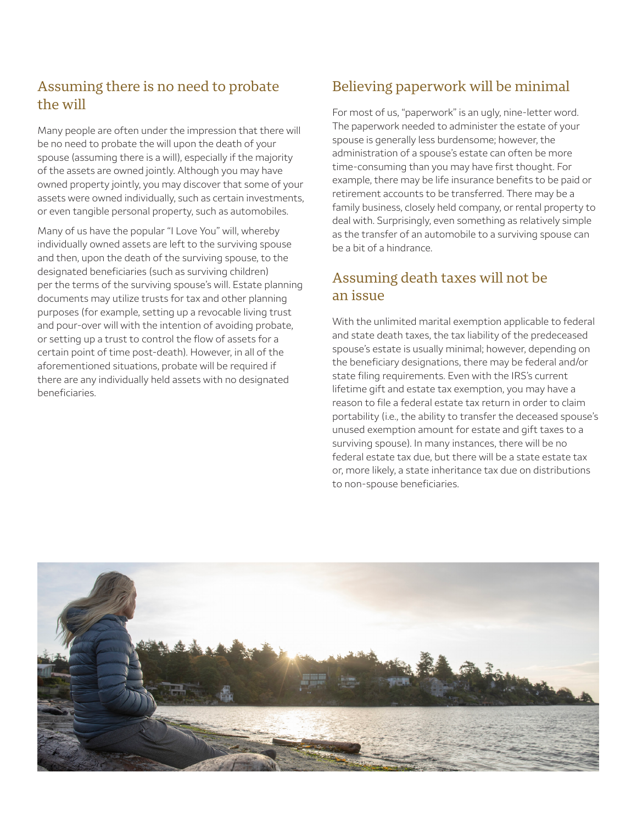## Assuming there is no need to probate the will

Many people are often under the impression that there will be no need to probate the will upon the death of your spouse (assuming there is a will), especially if the majority of the assets are owned jointly. Although you may have owned property jointly, you may discover that some of your assets were owned individually, such as certain investments, or even tangible personal property, such as automobiles.

Many of us have the popular "I Love You" will, whereby individually owned assets are left to the surviving spouse and then, upon the death of the surviving spouse, to the designated beneficiaries (such as surviving children) per the terms of the surviving spouse's will. Estate planning documents may utilize trusts for tax and other planning purposes (for example, setting up a revocable living trust and pour-over will with the intention of avoiding probate, or setting up a trust to control the flow of assets for a certain point of time post-death). However, in all of the aforementioned situations, probate will be required if there are any individually held assets with no designated beneficiaries.

### Believing paperwork will be minimal

For most of us, "paperwork" is an ugly, nine-letter word. The paperwork needed to administer the estate of your spouse is generally less burdensome; however, the administration of a spouse's estate can often be more time-consuming than you may have first thought. For example, there may be life insurance benefits to be paid or retirement accounts to be transferred. There may be a family business, closely held company, or rental property to deal with. Surprisingly, even something as relatively simple as the transfer of an automobile to a surviving spouse can be a bit of a hindrance.

#### Assuming death taxes will not be an issue

With the unlimited marital exemption applicable to federal and state death taxes, the tax liability of the predeceased spouse's estate is usually minimal; however, depending on the beneficiary designations, there may be federal and/or state filing requirements. Even with the IRS's current lifetime gift and estate tax exemption, you may have a reason to file a federal estate tax return in order to claim portability (i.e., the ability to transfer the deceased spouse's unused exemption amount for estate and gift taxes to a surviving spouse). In many instances, there will be no federal estate tax due, but there will be a state estate tax or, more likely, a state inheritance tax due on distributions to non-spouse beneficiaries.

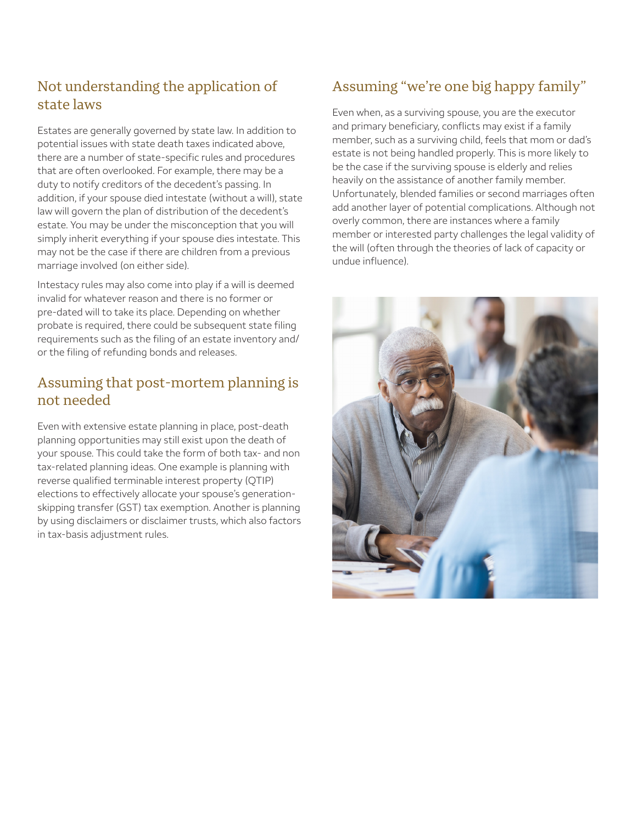## Not understanding the application of state laws

Estates are generally governed by state law. In addition to potential issues with state death taxes indicated above, there are a number of state-specific rules and procedures that are often overlooked. For example, there may be a duty to notify creditors of the decedent's passing. In addition, if your spouse died intestate (without a will), state law will govern the plan of distribution of the decedent's estate. You may be under the misconception that you will simply inherit everything if your spouse dies intestate. This may not be the case if there are children from a previous marriage involved (on either side).

Intestacy rules may also come into play if a will is deemed invalid for whatever reason and there is no former or pre-dated will to take its place. Depending on whether probate is required, there could be subsequent state filing requirements such as the filing of an estate inventory and/ or the filing of refunding bonds and releases.

#### Assuming that post-mortem planning is not needed

Even with extensive estate planning in place, post-death planning opportunities may still exist upon the death of your spouse. This could take the form of both tax- and non tax-related planning ideas. One example is planning with reverse qualified terminable interest property (QTIP) elections to effectively allocate your spouse's generationskipping transfer (GST) tax exemption. Another is planning by using disclaimers or disclaimer trusts, which also factors in tax-basis adjustment rules.

## Assuming "we're one big happy family"

Even when, as a surviving spouse, you are the executor and primary beneficiary, conflicts may exist if a family member, such as a surviving child, feels that mom or dad's estate is not being handled properly. This is more likely to be the case if the surviving spouse is elderly and relies heavily on the assistance of another family member. Unfortunately, blended families or second marriages often add another layer of potential complications. Although not overly common, there are instances where a family member or interested party challenges the legal validity of the will (often through the theories of lack of capacity or undue influence).